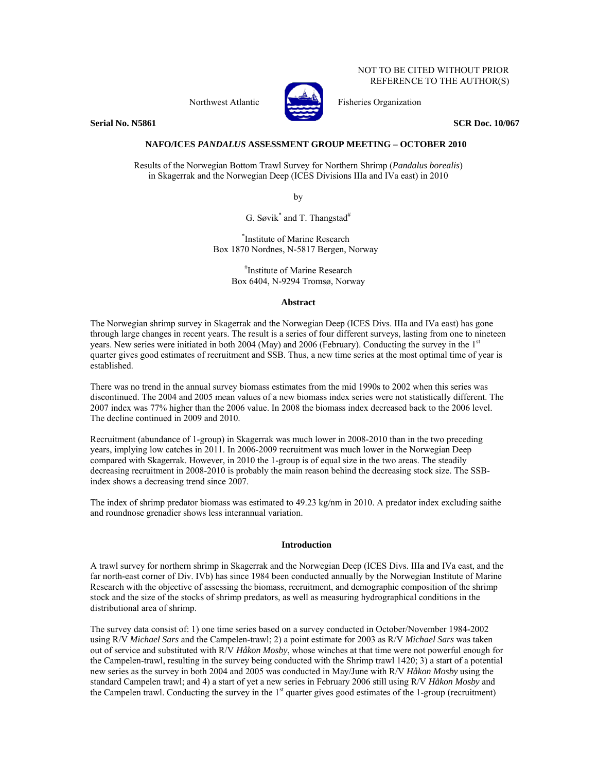NOT TO BE CITED WITHOUT PRIOR REFERENCE TO THE AUTHOR(S)



Northwest Atlantic Fisheries Organization

**Serial No. N5861** SCR Doc. 10/067

# **NAFO/ICES** *PANDALUS* **ASSESSMENT GROUP MEETING – OCTOBER 2010**

Results of the Norwegian Bottom Trawl Survey for Northern Shrimp (*Pandalus borealis*) in Skagerrak and the Norwegian Deep (ICES Divisions IIIa and IVa east) in 2010

by

G. Søvik<sup>\*</sup> and T. Thangstad<sup>#</sup>

\* Institute of Marine Research Box 1870 Nordnes, N-5817 Bergen, Norway

> # Institute of Marine Research Box 6404, N-9294 Tromsø, Norway

## **Abstract**

The Norwegian shrimp survey in Skagerrak and the Norwegian Deep (ICES Divs. IIIa and IVa east) has gone through large changes in recent years. The result is a series of four different surveys, lasting from one to nineteen years. New series were initiated in both 2004 (May) and 2006 (February). Conducting the survey in the 1<sup>st</sup> quarter gives good estimates of recruitment and SSB. Thus, a new time series at the most optimal time of year is established.

There was no trend in the annual survey biomass estimates from the mid 1990s to 2002 when this series was discontinued. The 2004 and 2005 mean values of a new biomass index series were not statistically different. The 2007 index was 77% higher than the 2006 value. In 2008 the biomass index decreased back to the 2006 level. The decline continued in 2009 and 2010.

Recruitment (abundance of 1-group) in Skagerrak was much lower in 2008-2010 than in the two preceding years, implying low catches in 2011. In 2006-2009 recruitment was much lower in the Norwegian Deep compared with Skagerrak. However, in 2010 the 1-group is of equal size in the two areas. The steadily decreasing recruitment in 2008-2010 is probably the main reason behind the decreasing stock size. The SSBindex shows a decreasing trend since 2007.

The index of shrimp predator biomass was estimated to 49.23 kg/nm in 2010. A predator index excluding saithe and roundnose grenadier shows less interannual variation.

# **Introduction**

A trawl survey for northern shrimp in Skagerrak and the Norwegian Deep (ICES Divs. IIIa and IVa east, and the far north-east corner of Div. IVb) has since 1984 been conducted annually by the Norwegian Institute of Marine Research with the objective of assessing the biomass, recruitment, and demographic composition of the shrimp stock and the size of the stocks of shrimp predators, as well as measuring hydrographical conditions in the distributional area of shrimp.

The survey data consist of: 1) one time series based on a survey conducted in October/November 1984-2002 using R/V *Michael Sars* and the Campelen-trawl; 2) a point estimate for 2003 as R/V *Michael Sars* was taken out of service and substituted with R/V *Håkon Mosby*, whose winches at that time were not powerful enough for the Campelen-trawl, resulting in the survey being conducted with the Shrimp trawl 1420; 3) a start of a potential new series as the survey in both 2004 and 2005 was conducted in May/June with R/V *Håkon Mosby* using the standard Campelen trawl; and 4) a start of yet a new series in February 2006 still using R/V *Håkon Mosby* and the Campelen trawl. Conducting the survey in the  $1<sup>st</sup>$  quarter gives good estimates of the 1-group (recruitment)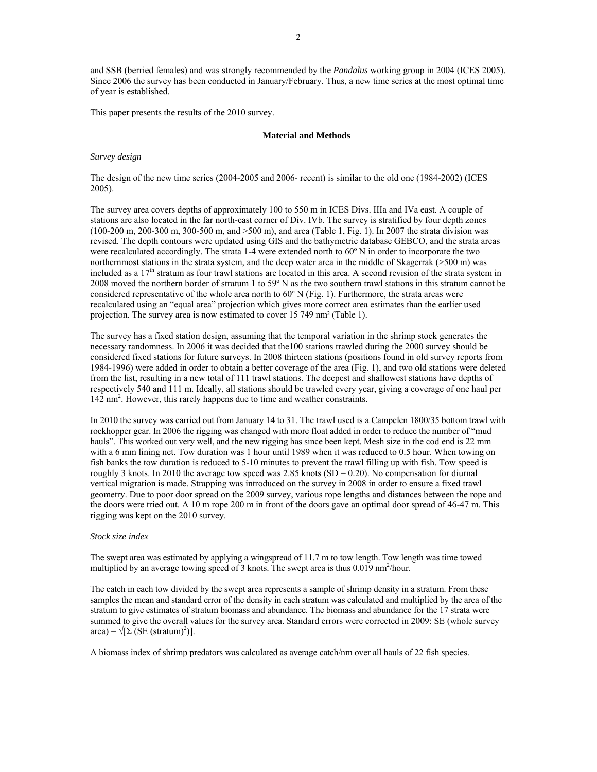and SSB (berried females) and was strongly recommended by the *Pandalus* working group in 2004 (ICES 2005). Since 2006 the survey has been conducted in January/February. Thus, a new time series at the most optimal time of year is established.

This paper presents the results of the 2010 survey.

### **Material and Methods**

### *Survey design*

The design of the new time series (2004-2005 and 2006- recent) is similar to the old one (1984-2002) (ICES 2005).

The survey area covers depths of approximately 100 to 550 m in ICES Divs. IIIa and IVa east. A couple of stations are also located in the far north-east corner of Div. IVb. The survey is stratified by four depth zones (100-200 m, 200-300 m, 300-500 m, and >500 m), and area (Table 1, Fig. 1). In 2007 the strata division was revised. The depth contours were updated using GIS and the bathymetric database GEBCO, and the strata areas were recalculated accordingly. The strata 1-4 were extended north to 60º N in order to incorporate the two northernmost stations in the strata system, and the deep water area in the middle of Skagerrak (>500 m) was included as a 17th stratum as four trawl stations are located in this area. A second revision of the strata system in 2008 moved the northern border of stratum 1 to 59º N as the two southern trawl stations in this stratum cannot be considered representative of the whole area north to  $60^{\circ}$  N (Fig. 1). Furthermore, the strata areas were recalculated using an "equal area" projection which gives more correct area estimates than the earlier used projection. The survey area is now estimated to cover 15 749 nm² (Table 1).

The survey has a fixed station design, assuming that the temporal variation in the shrimp stock generates the necessary randomness. In 2006 it was decided that the100 stations trawled during the 2000 survey should be considered fixed stations for future surveys. In 2008 thirteen stations (positions found in old survey reports from 1984-1996) were added in order to obtain a better coverage of the area (Fig. 1), and two old stations were deleted from the list, resulting in a new total of 111 trawl stations. The deepest and shallowest stations have depths of respectively 540 and 111 m. Ideally, all stations should be trawled every year, giving a coverage of one haul per 142 nm2 . However, this rarely happens due to time and weather constraints.

In 2010 the survey was carried out from January 14 to 31. The trawl used is a Campelen 1800/35 bottom trawl with rockhopper gear. In 2006 the rigging was changed with more float added in order to reduce the number of "mud hauls". This worked out very well, and the new rigging has since been kept. Mesh size in the cod end is 22 mm with a 6 mm lining net. Tow duration was 1 hour until 1989 when it was reduced to 0.5 hour. When towing on fish banks the tow duration is reduced to 5-10 minutes to prevent the trawl filling up with fish. Tow speed is roughly 3 knots. In 2010 the average tow speed was  $2.85$  knots (SD = 0.20). No compensation for diurnal vertical migration is made. Strapping was introduced on the survey in 2008 in order to ensure a fixed trawl geometry. Due to poor door spread on the 2009 survey, various rope lengths and distances between the rope and the doors were tried out. A 10 m rope 200 m in front of the doors gave an optimal door spread of 46-47 m. This rigging was kept on the 2010 survey.

## *Stock size index*

The swept area was estimated by applying a wingspread of 11.7 m to tow length. Tow length was time towed multiplied by an average towing speed of 3 knots. The swept area is thus  $0.019 \text{ nm}^2/\text{hour}$ .

The catch in each tow divided by the swept area represents a sample of shrimp density in a stratum. From these samples the mean and standard error of the density in each stratum was calculated and multiplied by the area of the stratum to give estimates of stratum biomass and abundance. The biomass and abundance for the 17 strata were summed to give the overall values for the survey area. Standard errors were corrected in 2009: SE (whole survey  $area$ ) =  $\sqrt{[\Sigma (SE (stratum)^2)]}$ .

A biomass index of shrimp predators was calculated as average catch/nm over all hauls of 22 fish species.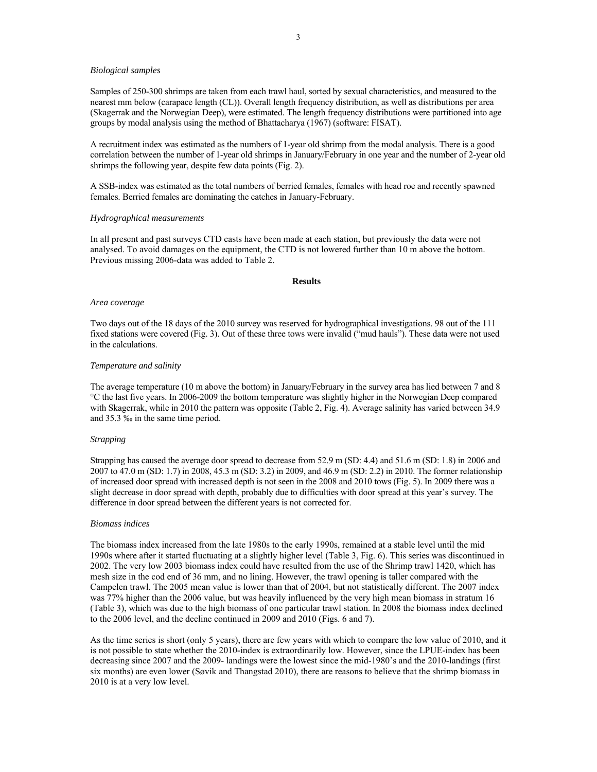# *Biological samples*

Samples of 250-300 shrimps are taken from each trawl haul, sorted by sexual characteristics, and measured to the nearest mm below (carapace length (CL)). Overall length frequency distribution, as well as distributions per area (Skagerrak and the Norwegian Deep), were estimated. The length frequency distributions were partitioned into age groups by modal analysis using the method of Bhattacharya (1967) (software: FISAT).

A recruitment index was estimated as the numbers of 1-year old shrimp from the modal analysis. There is a good correlation between the number of 1-year old shrimps in January/February in one year and the number of 2-year old shrimps the following year, despite few data points (Fig. 2).

A SSB-index was estimated as the total numbers of berried females, females with head roe and recently spawned females. Berried females are dominating the catches in January-February.

### *Hydrographical measurements*

In all present and past surveys CTD casts have been made at each station, but previously the data were not analysed. To avoid damages on the equipment, the CTD is not lowered further than 10 m above the bottom. Previous missing 2006-data was added to Table 2.

#### **Results**

#### *Area coverage*

Two days out of the 18 days of the 2010 survey was reserved for hydrographical investigations. 98 out of the 111 fixed stations were covered (Fig. 3). Out of these three tows were invalid ("mud hauls"). These data were not used in the calculations.

### *Temperature and salinity*

The average temperature (10 m above the bottom) in January/February in the survey area has lied between 7 and 8 °C the last five years. In 2006-2009 the bottom temperature was slightly higher in the Norwegian Deep compared with Skagerrak, while in 2010 the pattern was opposite (Table 2, Fig. 4). Average salinity has varied between 34.9 and 35.3 ‰ in the same time period.

# *Strapping*

Strapping has caused the average door spread to decrease from 52.9 m (SD: 4.4) and 51.6 m (SD: 1.8) in 2006 and 2007 to 47.0 m (SD: 1.7) in 2008, 45.3 m (SD: 3.2) in 2009, and 46.9 m (SD: 2.2) in 2010. The former relationship of increased door spread with increased depth is not seen in the 2008 and 2010 tows (Fig. 5). In 2009 there was a slight decrease in door spread with depth, probably due to difficulties with door spread at this year's survey. The difference in door spread between the different years is not corrected for.

### *Biomass indices*

The biomass index increased from the late 1980s to the early 1990s, remained at a stable level until the mid 1990s where after it started fluctuating at a slightly higher level (Table 3, Fig. 6). This series was discontinued in 2002. The very low 2003 biomass index could have resulted from the use of the Shrimp trawl 1420, which has mesh size in the cod end of 36 mm, and no lining. However, the trawl opening is taller compared with the Campelen trawl. The 2005 mean value is lower than that of 2004, but not statistically different. The 2007 index was 77% higher than the 2006 value, but was heavily influenced by the very high mean biomass in stratum 16 (Table 3), which was due to the high biomass of one particular trawl station. In 2008 the biomass index declined to the 2006 level, and the decline continued in 2009 and 2010 (Figs. 6 and 7).

As the time series is short (only 5 years), there are few years with which to compare the low value of 2010, and it is not possible to state whether the 2010-index is extraordinarily low. However, since the LPUE-index has been decreasing since 2007 and the 2009- landings were the lowest since the mid-1980's and the 2010-landings (first six months) are even lower (Søvik and Thangstad 2010), there are reasons to believe that the shrimp biomass in 2010 is at a very low level.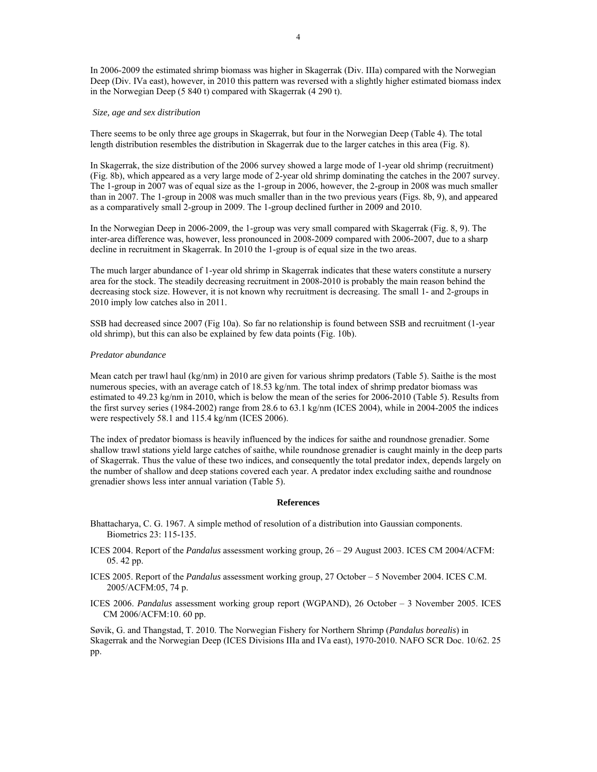In 2006-2009 the estimated shrimp biomass was higher in Skagerrak (Div. IIIa) compared with the Norwegian Deep (Div. IVa east), however, in 2010 this pattern was reversed with a slightly higher estimated biomass index in the Norwegian Deep (5 840 t) compared with Skagerrak (4 290 t).

#### *Size, age and sex distribution*

There seems to be only three age groups in Skagerrak, but four in the Norwegian Deep (Table 4). The total length distribution resembles the distribution in Skagerrak due to the larger catches in this area (Fig. 8).

In Skagerrak, the size distribution of the 2006 survey showed a large mode of 1-year old shrimp (recruitment) (Fig. 8b), which appeared as a very large mode of 2-year old shrimp dominating the catches in the 2007 survey. The 1-group in 2007 was of equal size as the 1-group in 2006, however, the 2-group in 2008 was much smaller than in 2007. The 1-group in 2008 was much smaller than in the two previous years (Figs. 8b, 9), and appeared as a comparatively small 2-group in 2009. The 1-group declined further in 2009 and 2010.

In the Norwegian Deep in 2006-2009, the 1-group was very small compared with Skagerrak (Fig. 8, 9). The inter-area difference was, however, less pronounced in 2008-2009 compared with 2006-2007, due to a sharp decline in recruitment in Skagerrak. In 2010 the 1-group is of equal size in the two areas.

The much larger abundance of 1-year old shrimp in Skagerrak indicates that these waters constitute a nursery area for the stock. The steadily decreasing recruitment in 2008-2010 is probably the main reason behind the decreasing stock size. However, it is not known why recruitment is decreasing. The small 1- and 2-groups in 2010 imply low catches also in 2011.

SSB had decreased since 2007 (Fig 10a). So far no relationship is found between SSB and recruitment (1-year old shrimp), but this can also be explained by few data points (Fig. 10b).

# *Predator abundance*

Mean catch per trawl haul (kg/nm) in 2010 are given for various shrimp predators (Table 5). Saithe is the most numerous species, with an average catch of 18.53 kg/nm. The total index of shrimp predator biomass was estimated to 49.23 kg/nm in 2010, which is below the mean of the series for 2006-2010 (Table 5). Results from the first survey series (1984-2002) range from 28.6 to 63.1 kg/nm (ICES 2004), while in 2004-2005 the indices were respectively 58.1 and 115.4 kg/nm (ICES 2006).

The index of predator biomass is heavily influenced by the indices for saithe and roundnose grenadier. Some shallow trawl stations yield large catches of saithe, while roundnose grenadier is caught mainly in the deep parts of Skagerrak. Thus the value of these two indices, and consequently the total predator index, depends largely on the number of shallow and deep stations covered each year. A predator index excluding saithe and roundnose grenadier shows less inter annual variation (Table 5).

## **References**

- Bhattacharya, C. G. 1967. A simple method of resolution of a distribution into Gaussian components. Biometrics 23: 115-135.
- ICES 2004. Report of the *Pandalus* assessment working group, 26 29 August 2003. ICES CM 2004/ACFM: 05. 42 pp.
- ICES 2005. Report of the *Pandalus* assessment working group, 27 October 5 November 2004. ICES C.M. 2005/ACFM:05, 74 p.
- ICES 2006. *Pandalus* assessment working group report (WGPAND), 26 October 3 November 2005. ICES CM 2006/ACFM:10. 60 pp.

Søvik, G. and Thangstad, T. 2010. The Norwegian Fishery for Northern Shrimp (*Pandalus borealis*) in Skagerrak and the Norwegian Deep (ICES Divisions IIIa and IVa east), 1970-2010. NAFO SCR Doc. 10/62. 25 pp.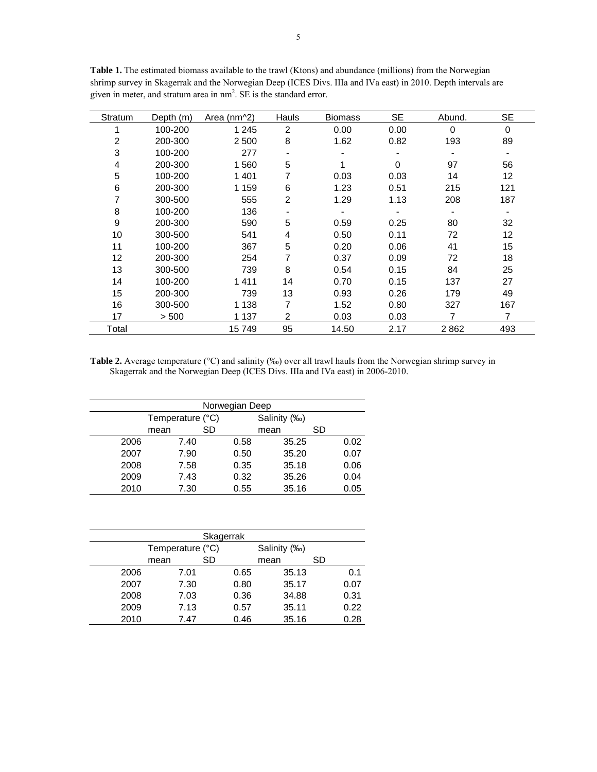| Stratum | Depth (m) | Area (nm^2) | Hauls          | <b>Biomass</b> | <b>SE</b> | Abund.   | <b>SE</b>      |
|---------|-----------|-------------|----------------|----------------|-----------|----------|----------------|
| 1       | 100-200   | 1 2 4 5     | $\overline{2}$ | 0.00           | 0.00      | $\Omega$ | 0              |
| 2       | 200-300   | 2 500       | 8              | 1.62           | 0.82      | 193      | 89             |
| 3       | 100-200   | 277         | -              |                |           |          |                |
| 4       | 200-300   | 1 560       | 5              | 1              | 0         | 97       | 56             |
| 5       | 100-200   | 1 4 0 1     | 7              | 0.03           | 0.03      | 14       | 12             |
| 6       | 200-300   | 1 159       | 6              | 1.23           | 0.51      | 215      | 121            |
| 7       | 300-500   | 555         | 2              | 1.29           | 1.13      | 208      | 187            |
| 8       | 100-200   | 136         |                |                |           |          |                |
| 9       | 200-300   | 590         | 5              | 0.59           | 0.25      | 80       | 32             |
| 10      | 300-500   | 541         | 4              | 0.50           | 0.11      | 72       | 12             |
| 11      | 100-200   | 367         | 5              | 0.20           | 0.06      | 41       | 15             |
| 12      | 200-300   | 254         | 7              | 0.37           | 0.09      | 72       | 18             |
| 13      | 300-500   | 739         | 8              | 0.54           | 0.15      | 84       | 25             |
| 14      | 100-200   | 1411        | 14             | 0.70           | 0.15      | 137      | 27             |
| 15      | 200-300   | 739         | 13             | 0.93           | 0.26      | 179      | 49             |
| 16      | 300-500   | 1 1 3 8     | 7              | 1.52           | 0.80      | 327      | 167            |
| 17      | > 500     | 1 1 3 7     | 2              | 0.03           | 0.03      | 7        | $\overline{7}$ |
| Total   |           | 15749       | 95             | 14.50          | 2.17      | 2862     | 493            |

Table 1. The estimated biomass available to the trawl (Ktons) and abundance (millions) from the Norwegian shrimp survey in Skagerrak and the Norwegian Deep (ICES Divs. IIIa and IVa east) in 2010. Depth intervals are given in meter, and stratum area in nm<sup>2</sup>. SE is the standard error.

**Table 2.** Average temperature (°C) and salinity (‰) over all trawl hauls from the Norwegian shrimp survey in Skagerrak and the Norwegian Deep (ICES Divs. IIIa and IVa east) in 2006-2010.

|      | Norwegian Deep |                  |      |              |      |  |  |  |  |  |  |
|------|----------------|------------------|------|--------------|------|--|--|--|--|--|--|
|      |                | Temperature (°C) |      | Salinity (‰) |      |  |  |  |  |  |  |
|      | mean           | SD               |      | mean         | SD   |  |  |  |  |  |  |
| 2006 |                | 7.40             | 0.58 | 35.25        | 0.02 |  |  |  |  |  |  |
| 2007 |                | 7.90             | 0.50 | 35.20        | 0.07 |  |  |  |  |  |  |
| 2008 |                | 7.58             | 0.35 | 35.18        | 0.06 |  |  |  |  |  |  |
| 2009 |                | 7.43             | 0.32 | 35.26        | 0.04 |  |  |  |  |  |  |
| 2010 |                | 7.30             | 0.55 | 35.16        | 0.05 |  |  |  |  |  |  |

| Skagerrak |      |                  |      |              |      |  |  |  |  |  |
|-----------|------|------------------|------|--------------|------|--|--|--|--|--|
|           |      | Temperature (°C) |      | Salinity (‰) |      |  |  |  |  |  |
|           | mean | SD               |      | mean         | SD   |  |  |  |  |  |
| 2006      |      | 7.01             | 0.65 | 35.13        | 0.1  |  |  |  |  |  |
| 2007      |      | 7.30             | 0.80 | 35.17        | 0.07 |  |  |  |  |  |
| 2008      |      | 7.03             | 0.36 | 34.88        | 0.31 |  |  |  |  |  |
| 2009      |      | 7.13             | 0.57 | 35.11        | 0.22 |  |  |  |  |  |
| 2010      |      | 7.47             | 0.46 | 35.16        | 0.28 |  |  |  |  |  |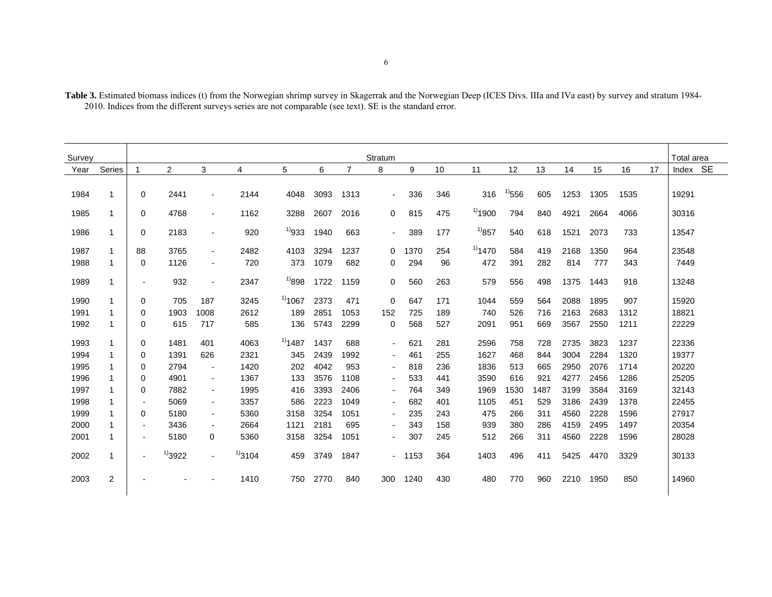| Survey |                |                          |                |                          |             |              |      |                | Stratum                  |         |     |              |             |      |      |      |      |    | Total area         |
|--------|----------------|--------------------------|----------------|--------------------------|-------------|--------------|------|----------------|--------------------------|---------|-----|--------------|-------------|------|------|------|------|----|--------------------|
| Year   | <b>Series</b>  |                          | $\overline{2}$ | 3                        | 4           | 5            | 6    | $\overline{7}$ | 8                        | 9       | 10  | 11           | 12          | 13   | 14   | 15   | 16   | 17 | <b>SE</b><br>Index |
|        |                |                          |                |                          |             |              |      |                |                          |         |     |              |             |      |      |      |      |    |                    |
| 1984   | 1              | 0                        | 2441           | $\blacksquare$           | 2144        | 4048         | 3093 | 1313           | $\overline{\phantom{0}}$ | 336     | 346 | 316          | $^{11}$ 556 | 605  | 1253 | 1305 | 1535 |    | 19291              |
| 1985   | 1              | 0                        | 4768           | $\overline{\phantom{a}}$ | 1162        | 3288         | 2607 | 2016           | $\mathbf 0$              | 815     | 475 | $^{1)}$ 1900 | 794         | 840  | 4921 | 2664 | 4066 |    | 30316              |
| 1986   | 1              | 0                        | 2183           | $\blacksquare$           | 920         | $^{11}933$   | 1940 | 663            | $\sim$                   | 389     | 177 | $^{1)}857$   | 540         | 618  | 1521 | 2073 | 733  |    | 13547              |
| 1987   | 1              | 88                       | 3765           | $\blacksquare$           | 2482        | 4103         | 3294 | 1237           | $\Omega$                 | 1370    | 254 | $^{1)}$ 1470 | 584         | 419  | 2168 | 1350 | 964  |    | 23548              |
| 1988   | 1              | 0                        | 1126           | $\blacksquare$           | 720         | 373          | 1079 | 682            | $\mathbf 0$              | 294     | 96  | 472          | 391         | 282  | 814  | 777  | 343  |    | 7449               |
| 1989   | 1              | $\overline{\phantom{a}}$ | 932            | $\blacksquare$           | 2347        | $^{1)}898$   | 1722 | 1159           | 0                        | 560     | 263 | 579          | 556         | 498  | 1375 | 1443 | 918  |    | 13248              |
| 1990   | 1              | 0                        | 705            | 187                      | 3245        | $^{11}$ 1067 | 2373 | 471            | 0                        | 647     | 171 | 1044         | 559         | 564  | 2088 | 1895 | 907  |    | 15920              |
| 1991   | 1              | $\mathbf 0$              | 1903           | 1008                     | 2612        | 189          | 2851 | 1053           | 152                      | 725     | 189 | 740          | 526         | 716  | 2163 | 2683 | 1312 |    | 18821              |
| 1992   | 1              | $\mathbf 0$              | 615            | 717                      | 585         | 136          | 5743 | 2299           | $\mathbf 0$              | 568     | 527 | 2091         | 951         | 669  | 3567 | 2550 | 1211 |    | 22229              |
| 1993   | 1              | 0                        | 1481           | 401                      | 4063        | $^{11}$ 1487 | 1437 | 688            | $\sim$                   | 621     | 281 | 2596         | 758         | 728  | 2735 | 3823 | 1237 |    | 22336              |
| 1994   | 1              | 0                        | 1391           | 626                      | 2321        | 345          | 2439 | 1992           | $\overline{\phantom{a}}$ | 461     | 255 | 1627         | 468         | 844  | 3004 | 2284 | 1320 |    | 19377              |
| 1995   | 1              | 0                        | 2794           | $\overline{\phantom{a}}$ | 1420        | 202          | 4042 | 953            | $\sim$                   | 818     | 236 | 1836         | 513         | 665  | 2950 | 2076 | 1714 |    | 20220              |
| 1996   | 1              | 0                        | 4901           | $\overline{\phantom{a}}$ | 1367        | 133          | 3576 | 1108           | ٠                        | 533     | 441 | 3590         | 616         | 921  | 4277 | 2456 | 1286 |    | 25205              |
| 1997   | 1              | 0                        | 7882           | $\overline{\phantom{a}}$ | 1995        | 416          | 3393 | 2406           | $\sim$                   | 764     | 349 | 1969         | 1530        | 1487 | 3199 | 3584 | 3169 |    | 32143              |
| 1998   | 1              | $\overline{\phantom{a}}$ | 5069           | $\blacksquare$           | 3357        | 586          | 2223 | 1049           | $\sim$                   | 682     | 401 | 1105         | 451         | 529  | 3186 | 2439 | 1378 |    | 22455              |
| 1999   | 1              | $\Omega$                 | 5180           | $\blacksquare$           | 5360        | 3158         | 3254 | 1051           | $\overline{\phantom{a}}$ | 235     | 243 | 475          | 266         | 311  | 4560 | 2228 | 1596 |    | 27917              |
| 2000   | 1              | $\overline{\phantom{a}}$ | 3436           | $\overline{\phantom{a}}$ | 2664        | 1121         | 2181 | 695            | $\blacksquare$           | 343     | 158 | 939          | 380         | 286  | 4159 | 2495 | 1497 |    | 20354              |
| 2001   | 1              | $\sim$                   | 5180           | 0                        | 5360        | 3158         | 3254 | 1051           | $\sim$                   | 307     | 245 | 512          | 266         | 311  | 4560 | 2228 | 1596 |    | 28028              |
| 2002   | 1              | $\sim$                   | $^{1)}$ 3922   | $\blacksquare$           | $^{11}3104$ | 459          | 3749 | 1847           |                          | $-1153$ | 364 | 1403         | 496         | 411  | 5425 | 4470 | 3329 |    | 30133              |
| 2003   | $\overline{2}$ |                          |                |                          | 1410        | 750          | 2770 | 840            | 300                      | 1240    | 430 | 480          | 770         | 960  | 2210 | 1950 | 850  |    | 14960              |

**Table 3.** Estimated biomass indices (t) from the Norwegian shrimp survey in Skagerrak and the Norwegian Deep (ICES Divs. IIIa and IVa east) by survey and stratum 1984- 2010. Indices from the different surveys series are not comparable (see text). SE is the standard error.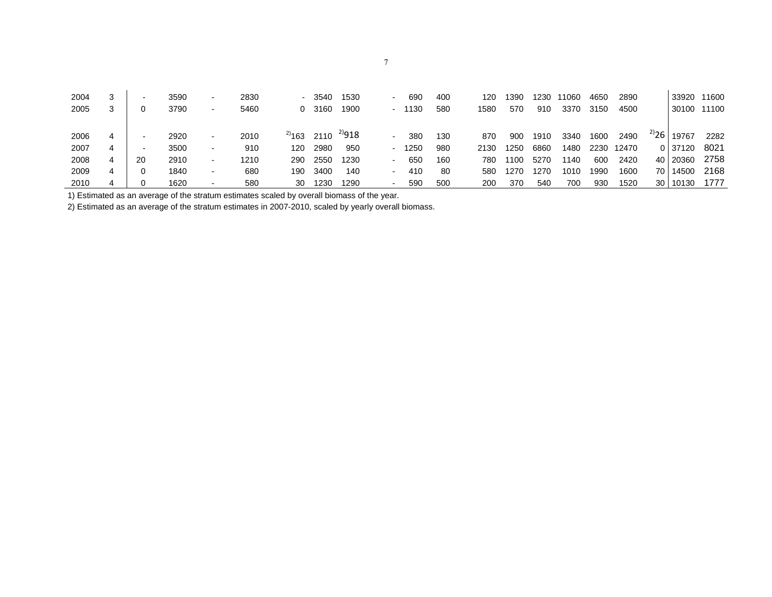| 2004<br>2005 | ົ<br>າ |                          | 3590<br>3790 | $\blacksquare$<br>$\blacksquare$ | 2830<br>5460 |                              | $-3540$<br>0 3160 | 1530<br>1900 |        | 690<br>1130 | 400<br>580 | 120<br>1580 | 1390<br>570 | 1230<br>910 | 11060<br>3370 | 4650<br>3150 | 2890<br>4500 |                 | 33920 11600<br>30100 11100 |      |
|--------------|--------|--------------------------|--------------|----------------------------------|--------------|------------------------------|-------------------|--------------|--------|-------------|------------|-------------|-------------|-------------|---------------|--------------|--------------|-----------------|----------------------------|------|
| 2006         |        | $\overline{\phantom{a}}$ | 2920         | $\overline{\phantom{a}}$         | 2010         | $^{2)}$ 163 2110 $^{2)}$ 918 |                   |              |        | 380         | 130        | 870         | 900         | 1910        | 3340          | 1600         | 2490         | $^{2)}26$       | 19767                      | 2282 |
| 2007         |        | $\overline{\phantom{0}}$ | 3500         | $\overline{\phantom{a}}$         | 910          | 120                          | 2980              | 950          |        | 1250        | 980        | 2130        | 1250        | 6860        | 1480          | 2230         | 12470        |                 | 0 37120                    | 8021 |
| 2008         |        | 20                       | 2910         | $\blacksquare$                   | 1210         | 290                          | 2550              | 1230         |        | 650         | 160        | 780         | 1100        | 5270        | 140           | 600          | 2420         |                 | 40 20360                   | 2758 |
| 2009         | 4      |                          | 1840         | $\overline{\phantom{a}}$         | 680          | 190                          | 3400              | 140          | $\sim$ | 410         | 80         | 580         | 1270        | 1270        | 1010          | 1990         | 1600         | 70              | 14500                      | 2168 |
| 2010         |        |                          | 1620         | $\overline{\phantom{0}}$         | 580          | 30                           | 1230              | 1290         |        | 590         | 500        | 200         | 370         | 540         | 700           | 930          | 1520         | 30 <sub>1</sub> | 10130                      | 1777 |

1) Estimated as an average of the stratum estimates scaled by overall biomass of the year.

2) Estimated as an average of the stratum estimates in 2007-2010, scaled by yearly overall biomass.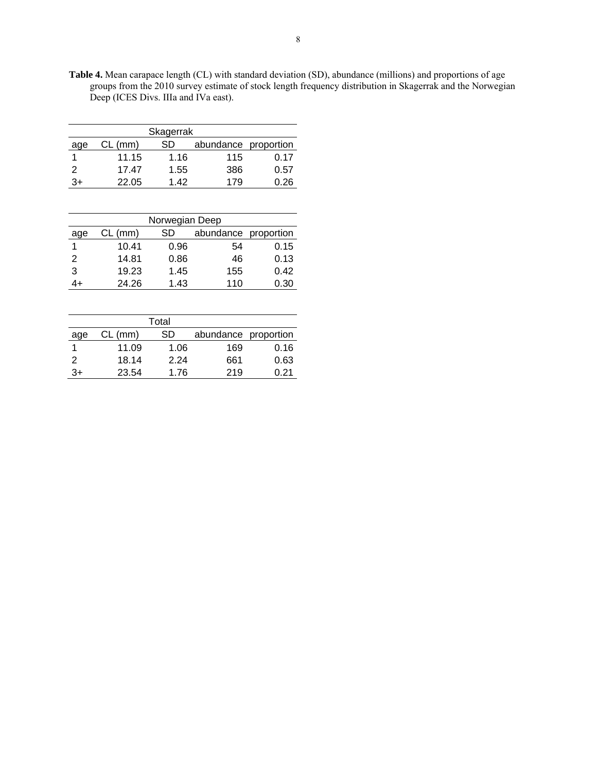**Table 4.** Mean carapace length (CL) with standard deviation (SD), abundance (millions) and proportions of age groups from the 2010 survey estimate of stock length frequency distribution in Skagerrak and the Norwegian Deep (ICES Divs. IIIa and IVa east).

| Skagerrak |           |      |                      |      |  |  |  |  |  |
|-----------|-----------|------|----------------------|------|--|--|--|--|--|
| age       | $CL$ (mm) | SD   | abundance proportion |      |  |  |  |  |  |
|           | 11.15     | 1.16 | 115                  | 0.17 |  |  |  |  |  |
| 2         | 17.47     | 1.55 | 386                  | 0.57 |  |  |  |  |  |
| $3+$      | 22.05     | 142  | 179                  | 0.26 |  |  |  |  |  |
|           |           |      |                      |      |  |  |  |  |  |

| Norwegian Deep |           |      |                      |      |  |  |  |  |  |  |  |
|----------------|-----------|------|----------------------|------|--|--|--|--|--|--|--|
| age            | $CL$ (mm) | SD   | abundance proportion |      |  |  |  |  |  |  |  |
|                | 10.41     | 0.96 | 54                   | 0.15 |  |  |  |  |  |  |  |
| 2              | 14.81     | 0.86 | 46                   | 0.13 |  |  |  |  |  |  |  |
| 3              | 19.23     | 1.45 | 155                  | 0.42 |  |  |  |  |  |  |  |
|                | 24.26     | 1.43 | 110                  | 0.30 |  |  |  |  |  |  |  |

|     | Total     |      |                      |      |
|-----|-----------|------|----------------------|------|
| age | $CL$ (mm) | SD   | abundance proportion |      |
|     | 11.09     | 1.06 | 169                  | 0.16 |
| 2   | 18.14     | 2.24 | 661                  | 0.63 |
| 3+  | 23.54     | 1.76 | 219                  | በ 21 |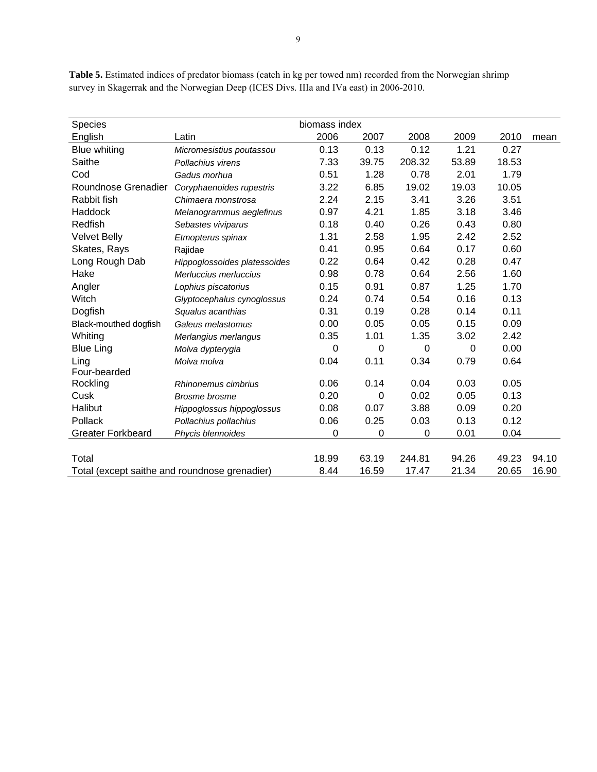**Table 5.** Estimated indices of predator biomass (catch in kg per towed nm) recorded from the Norwegian shrimp survey in Skagerrak and the Norwegian Deep (ICES Divs. IIIa and IVa east) in 2006-2010.

| Species                  |                                               | biomass index |       |             |       |       |       |
|--------------------------|-----------------------------------------------|---------------|-------|-------------|-------|-------|-------|
| English                  | Latin                                         | 2006          | 2007  | 2008        | 2009  | 2010  | mean  |
| <b>Blue whiting</b>      | Micromesistius poutassou                      | 0.13          | 0.13  | 0.12        | 1.21  | 0.27  |       |
| Saithe                   | Pollachius virens                             | 7.33          | 39.75 | 208.32      | 53.89 | 18.53 |       |
| Cod                      | Gadus morhua                                  | 0.51          | 1.28  | 0.78        | 2.01  | 1.79  |       |
| Roundnose Grenadier      | Coryphaenoides rupestris                      | 3.22          | 6.85  | 19.02       | 19.03 | 10.05 |       |
| Rabbit fish              | Chimaera monstrosa                            | 2.24          | 2.15  | 3.41        | 3.26  | 3.51  |       |
| Haddock                  | Melanogrammus aeglefinus                      | 0.97          | 4.21  | 1.85        | 3.18  | 3.46  |       |
| Redfish                  | Sebastes viviparus                            | 0.18          | 0.40  | 0.26        | 0.43  | 0.80  |       |
| <b>Velvet Belly</b>      | Etmopterus spinax                             | 1.31          | 2.58  | 1.95        | 2.42  | 2.52  |       |
| Skates, Rays             | Rajidae                                       | 0.41          | 0.95  | 0.64        | 0.17  | 0.60  |       |
| Long Rough Dab           | Hippoglossoides platessoides                  | 0.22          | 0.64  | 0.42        | 0.28  | 0.47  |       |
| Hake                     | Merluccius merluccius                         | 0.98          | 0.78  | 0.64        | 2.56  | 1.60  |       |
| Angler                   | Lophius piscatorius                           | 0.15          | 0.91  | 0.87        | 1.25  | 1.70  |       |
| Witch                    | Glyptocephalus cynoglossus                    | 0.24          | 0.74  | 0.54        | 0.16  | 0.13  |       |
| Dogfish                  | Squalus acanthias                             | 0.31          | 0.19  | 0.28        | 0.14  | 0.11  |       |
| Black-mouthed dogfish    | Galeus melastomus                             | 0.00          | 0.05  | 0.05        | 0.15  | 0.09  |       |
| Whiting                  | Merlangius merlangus                          | 0.35          | 1.01  | 1.35        | 3.02  | 2.42  |       |
| <b>Blue Ling</b>         | Molva dypterygia                              | 0             | 0     | 0           | 0     | 0.00  |       |
| Ling                     | Molva molva                                   | 0.04          | 0.11  | 0.34        | 0.79  | 0.64  |       |
| Four-bearded             |                                               |               |       |             |       |       |       |
| Rockling                 | Rhinonemus cimbrius                           | 0.06          | 0.14  | 0.04        | 0.03  | 0.05  |       |
| Cusk                     | <b>Brosme</b> brosme                          | 0.20          | 0     | 0.02        | 0.05  | 0.13  |       |
| Halibut                  | Hippoglossus hippoglossus                     | 0.08          | 0.07  | 3.88        | 0.09  | 0.20  |       |
| Pollack                  | Pollachius pollachius                         | 0.06          | 0.25  | 0.03        | 0.13  | 0.12  |       |
| <b>Greater Forkbeard</b> | Phycis blennoides                             | 0             | 0     | $\mathbf 0$ | 0.01  | 0.04  |       |
|                          |                                               |               |       |             |       |       |       |
| Total                    |                                               | 18.99         | 63.19 | 244.81      | 94.26 | 49.23 | 94.10 |
|                          | Total (except saithe and roundnose grenadier) | 8.44          | 16.59 | 17.47       | 21.34 | 20.65 | 16.90 |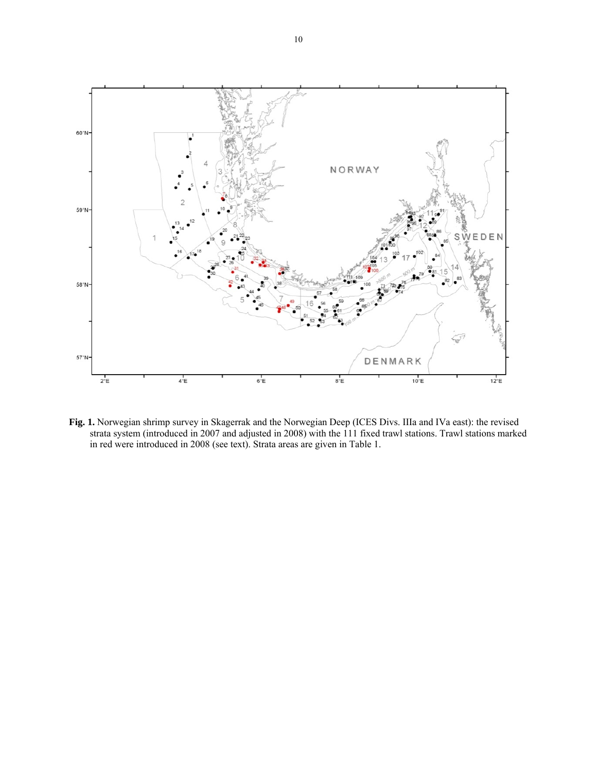

**Fig. 1.** Norwegian shrimp survey in Skagerrak and the Norwegian Deep (ICES Divs. IIIa and IVa east): the revised strata system (introduced in 2007 and adjusted in 2008) with the 111 fixed trawl stations. Trawl stations marked in red were introduced in 2008 (see text). Strata areas are given in Table 1.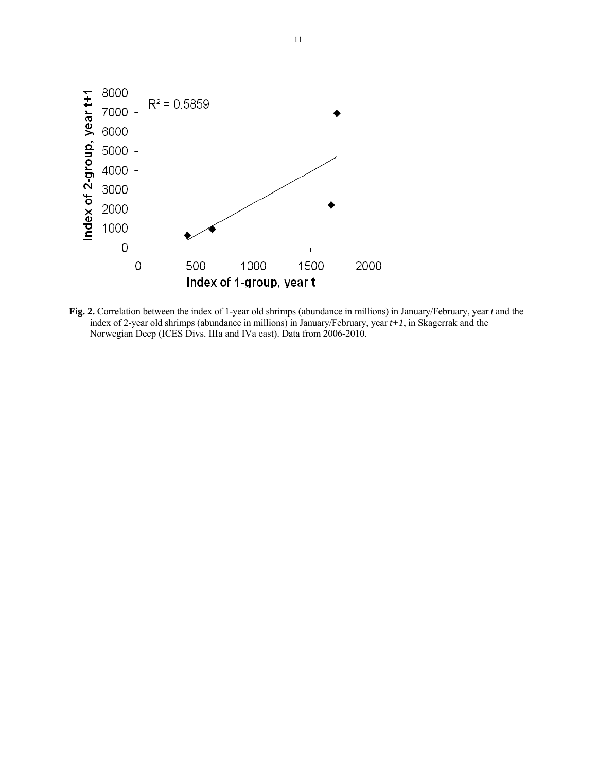

**Fig. 2.** Correlation between the index of 1-year old shrimps (abundance in millions) in January/February, year *t* and the index of 2-year old shrimps (abundance in millions) in January/February, year *t+1*, in Skagerrak and the Norwegian Deep (ICES Divs. IIIa and IVa east). Data from 2006-2010.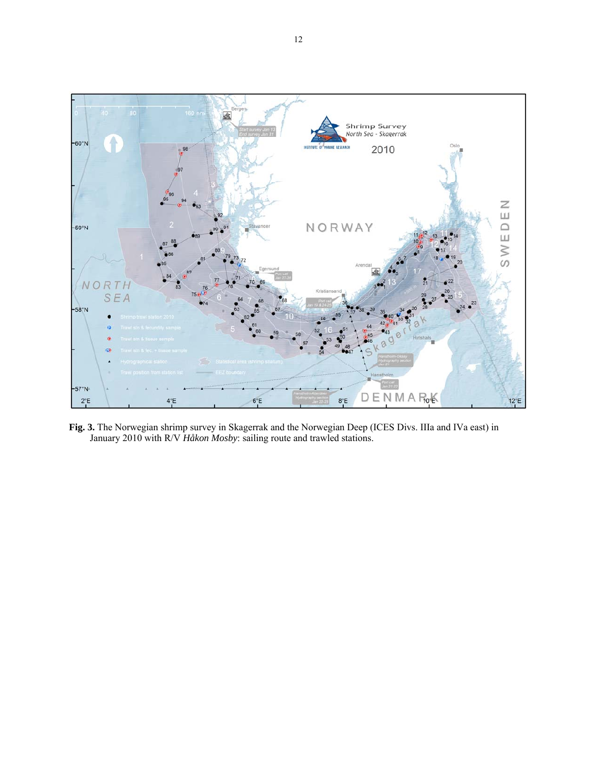

**Fig. 3.** The Norwegian shrimp survey in Skagerrak and the Norwegian Deep (ICES Divs. IIIa and IVa east) in January 2010 with R/V *Håkon Mosby*: sailing route and trawled stations.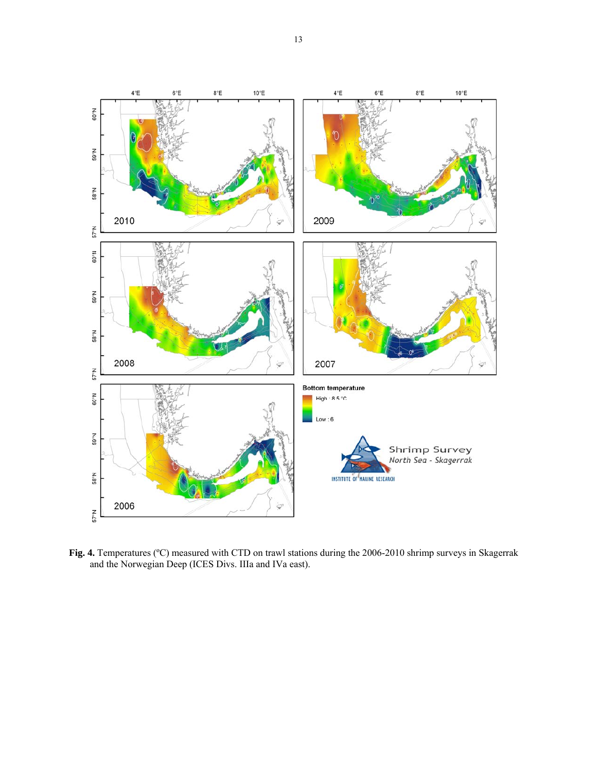

Fig. 4. Temperatures (°C) measured with CTD on trawl stations during the 2006-2010 shrimp surveys in Skagerrak and the Norwegian Deep (ICES Divs. IIIa and IVa east).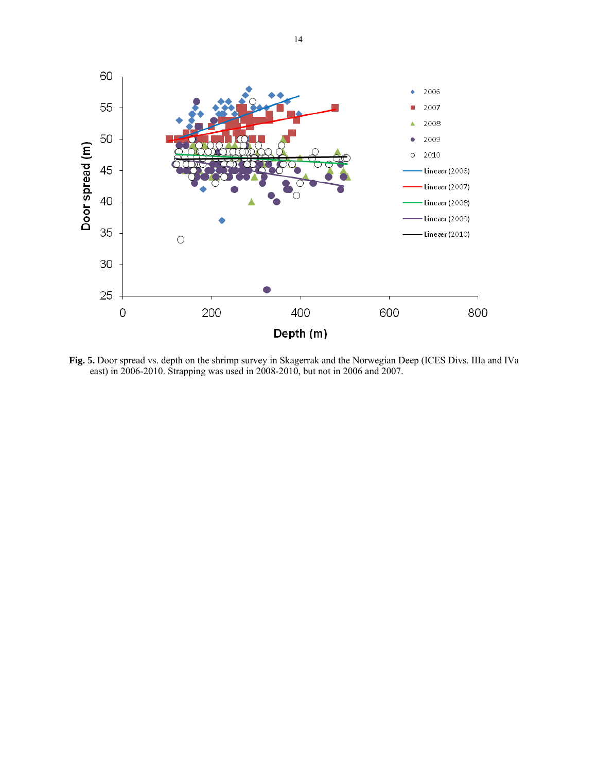

**Fig. 5.** Door spread vs. depth on the shrimp survey in Skagerrak and the Norwegian Deep (ICES Divs. IIIa and IVa east) in 2006-2010. Strapping was used in 2008-2010, but not in 2006 and 2007.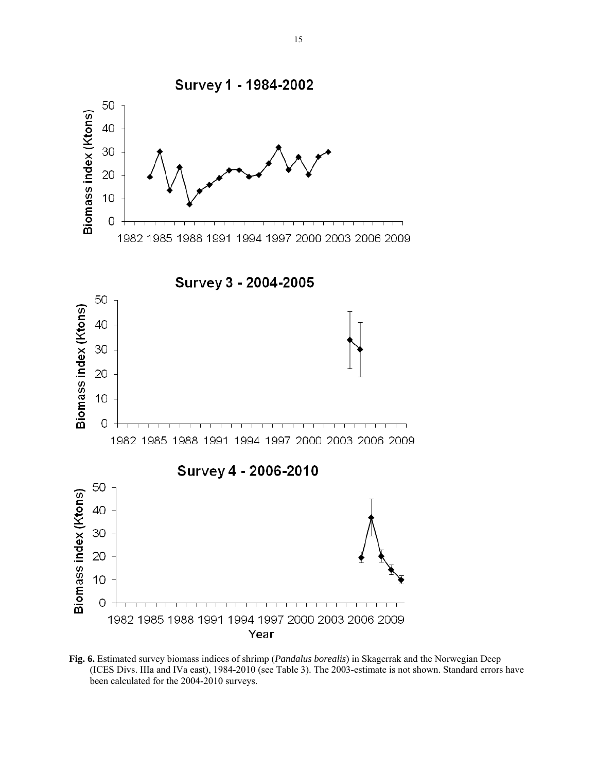

**Fig. 6.** Estimated survey biomass indices of shrimp (*Pandalus borealis*) in Skagerrak and the Norwegian Deep (ICES Divs. IIIa and IVa east), 1984-2010 (see Table 3). The 2003-estimate is not shown. Standard errors have been calculated for the 2004-2010 surveys.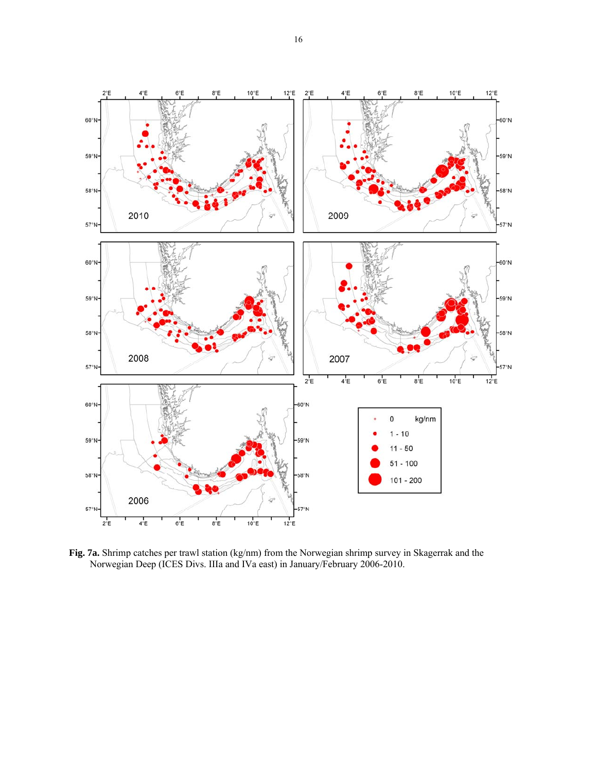

**Fig. 7a.** Shrimp catches per trawl station (kg/nm) from the Norwegian shrimp survey in Skagerrak and the Norwegian Deep (ICES Divs. IIIa and IVa east) in January/February 2006-2010.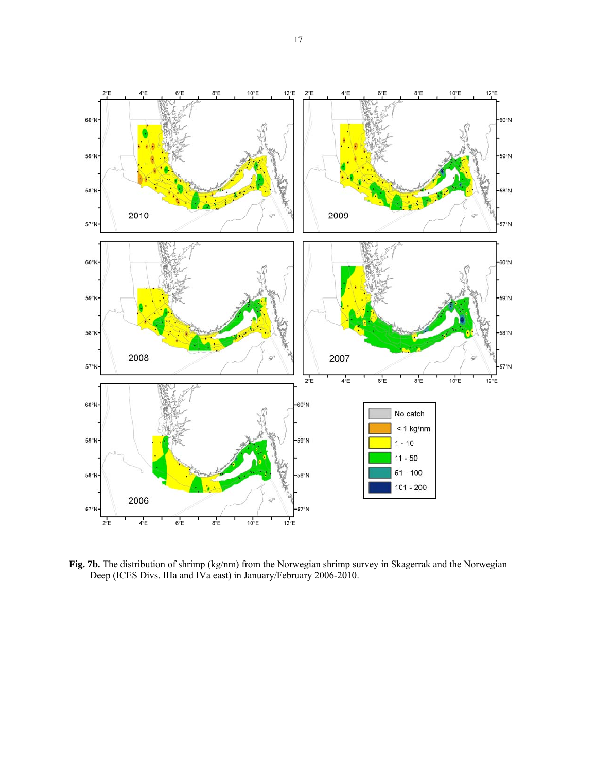

Fig. 7b. The distribution of shrimp (kg/nm) from the Norwegian shrimp survey in Skagerrak and the Norwegian Deep (ICES Divs. IIIa and IVa east) in January/February 2006-2010.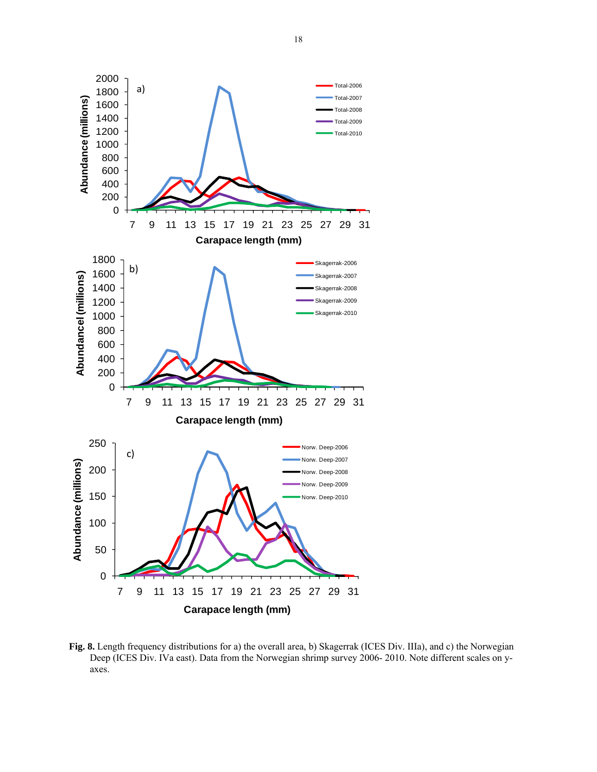

**Fig. 8.** Length frequency distributions for a) the overall area, b) Skagerrak (ICES Div. IIIa), and c) the Norwegian Deep (ICES Div. IVa east). Data from the Norwegian shrimp survey 2006- 2010. Note different scales on yaxes.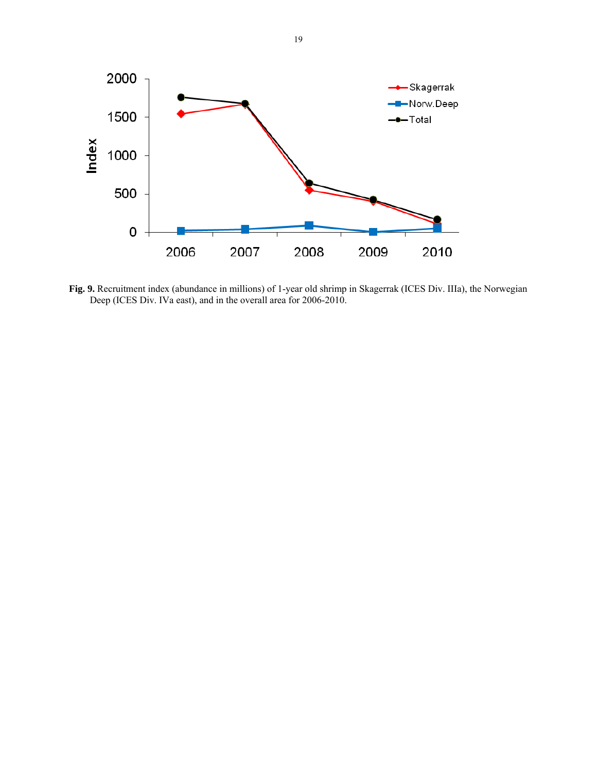

**Fig. 9.** Recruitment index (abundance in millions) of 1-year old shrimp in Skagerrak (ICES Div. IIIa), the Norwegian Deep (ICES Div. IVa east), and in the overall area for 2006-2010.